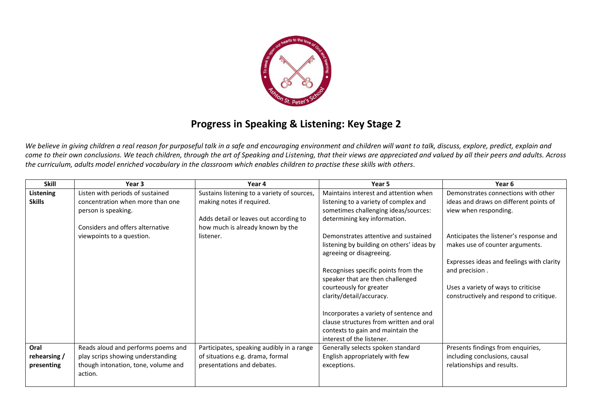

## **Progress in Speaking & Listening: Key Stage 2**

*We believe in giving children a real reason for purposeful talk in a safe and encouraging environment and children will want to talk, discuss, explore, predict, explain and come to their own conclusions. We teach children, through the art of Speaking and Listening, that their views are appreciated and valued by all their peers and adults. Across the curriculum, adults model enriched vocabulary in the classroom which enables children to practise these skills with others.* 

| <b>Skill</b>     | Year 3                              | Year 4                                      | Year 5                                    | Year 6                                    |
|------------------|-------------------------------------|---------------------------------------------|-------------------------------------------|-------------------------------------------|
| <b>Listening</b> | Listen with periods of sustained    | Sustains listening to a variety of sources, | Maintains interest and attention when     | Demonstrates connections with other       |
| <b>Skills</b>    | concentration when more than one    | making notes if required.                   | listening to a variety of complex and     | ideas and draws on different points of    |
|                  | person is speaking.                 |                                             | sometimes challenging ideas/sources:      | view when responding.                     |
|                  |                                     | Adds detail or leaves out according to      | determining key information.              |                                           |
|                  | Considers and offers alternative    | how much is already known by the            |                                           |                                           |
|                  | viewpoints to a question.           | listener.                                   | Demonstrates attentive and sustained      | Anticipates the listener's response and   |
|                  |                                     |                                             | listening by building on others' ideas by | makes use of counter arguments.           |
|                  |                                     |                                             | agreeing or disagreeing.                  |                                           |
|                  |                                     |                                             |                                           | Expresses ideas and feelings with clarity |
|                  |                                     |                                             | Recognises specific points from the       | and precision.                            |
|                  |                                     |                                             | speaker that are then challenged          |                                           |
|                  |                                     |                                             | courteously for greater                   | Uses a variety of ways to criticise       |
|                  |                                     |                                             | clarity/detail/accuracy.                  | constructively and respond to critique.   |
|                  |                                     |                                             |                                           |                                           |
|                  |                                     |                                             | Incorporates a variety of sentence and    |                                           |
|                  |                                     |                                             | clause structures from written and oral   |                                           |
|                  |                                     |                                             | contexts to gain and maintain the         |                                           |
|                  |                                     |                                             | interest of the listener.                 |                                           |
| Oral             | Reads aloud and performs poems and  | Participates, speaking audibly in a range   | Generally selects spoken standard         | Presents findings from enquiries,         |
| rehearsing /     | play scrips showing understanding   | of situations e.g. drama, formal            | English appropriately with few            | including conclusions, causal             |
| presenting       | though intonation, tone, volume and | presentations and debates.                  | exceptions.                               | relationships and results.                |
|                  | action.                             |                                             |                                           |                                           |
|                  |                                     |                                             |                                           |                                           |